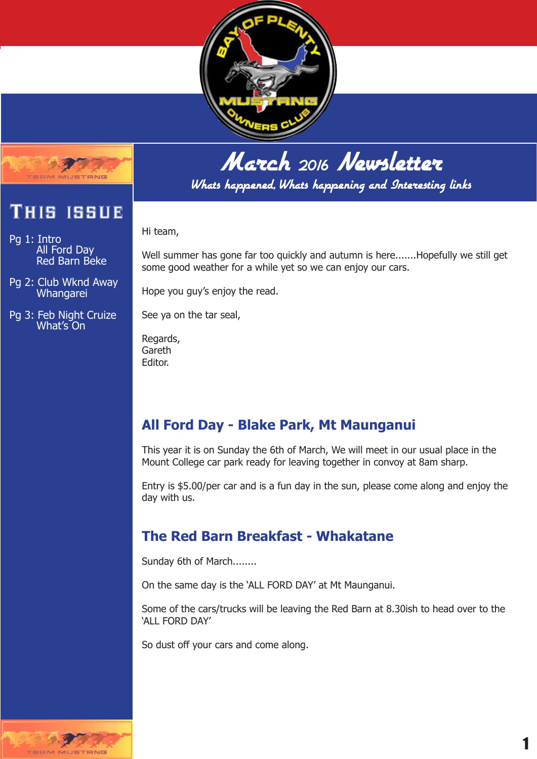



Whats happened, Whats happening and Interesting links

Hi team,

Well summer has gone far too quickly and autumn is here.......Hopefully we still get some good weather for a while yet so we can enjoy our cars.

Hope you guy's enjoy the read.

See ya on the tar seal,

Regards, Gareth Editor.

#### **All Ford Day - Blake Park, Mt Maunganui**

This year it is on Sunday the 6th of March, We will meet in our usual place in the Mount College car park ready for leaving together in convoy at 8am sharp.

Entry is \$5.00/per car and is a fun day in the sun, please come along and enjoy the day with us.

#### **The Red Barn Breakfast - Whakatane**

Sunday 6th of March........

On the same day is the 'ALL FORD DAY' at Mt Maunganui.

Some of the cars/trucks will be leaving the Red Barn at 8.30ish to head over to the 'ALL FORD DAY'

So dust off your cars and come along.



## 1

## This issue

**MAILETEME** 

Pg 1: Intro All Ford Day Red Barn Beke

Pg 2: Club Wknd Away Whangarei

Pg 3: Feb Night Cruize What's On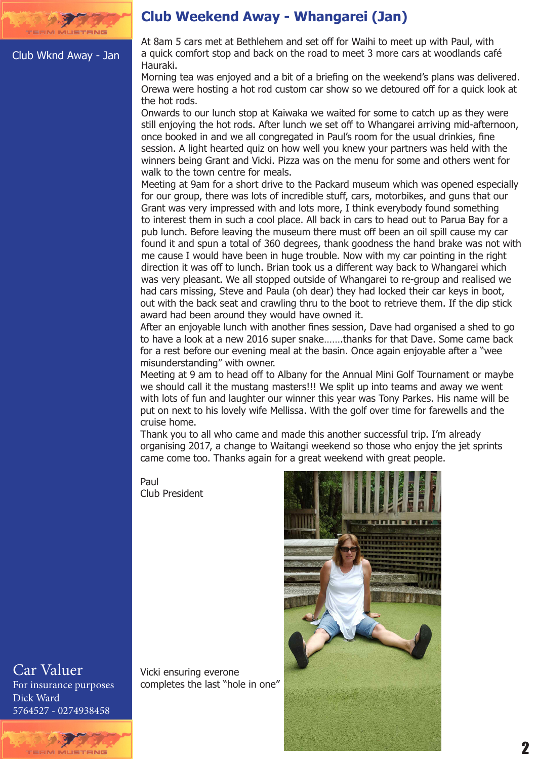

Club Wknd Away - Jan

#### **Club Weekend Away - Whangarei (Jan)**

At 8am 5 cars met at Bethlehem and set off for Waihi to meet up with Paul, with a quick comfort stop and back on the road to meet 3 more cars at woodlands café Hauraki.

Morning tea was enjoyed and a bit of a briefing on the weekend's plans was delivered. Orewa were hosting a hot rod custom car show so we detoured off for a quick look at the hot rods.

Onwards to our lunch stop at Kaiwaka we waited for some to catch up as they were still enjoying the hot rods. After lunch we set off to Whangarei arriving mid-afternoon, once booked in and we all congregated in Paul's room for the usual drinkies, fine session. A light hearted quiz on how well you knew your partners was held with the winners being Grant and Vicki. Pizza was on the menu for some and others went for walk to the town centre for meals.

Meeting at 9am for a short drive to the Packard museum which was opened especially for our group, there was lots of incredible stuff, cars, motorbikes, and guns that our Grant was very impressed with and lots more, I think everybody found something to interest them in such a cool place. All back in cars to head out to Parua Bay for a pub lunch. Before leaving the museum there must off been an oil spill cause my car found it and spun a total of 360 degrees, thank goodness the hand brake was not with me cause I would have been in huge trouble. Now with my car pointing in the right direction it was off to lunch. Brian took us a different way back to Whangarei which was very pleasant. We all stopped outside of Whangarei to re-group and realised we had cars missing, Steve and Paula (oh dear) they had locked their car keys in boot, out with the back seat and crawling thru to the boot to retrieve them. If the dip stick award had been around they would have owned it.

After an enjoyable lunch with another fines session, Dave had organised a shed to go to have a look at a new 2016 super snake…….thanks for that Dave. Some came back for a rest before our evening meal at the basin. Once again enjoyable after a "wee misunderstanding" with owner.

Meeting at 9 am to head off to Albany for the Annual Mini Golf Tournament or maybe we should call it the mustang masters!!! We split up into teams and away we went with lots of fun and laughter our winner this year was Tony Parkes. His name will be put on next to his lovely wife Mellissa. With the golf over time for farewells and the cruise home.

Thank you to all who came and made this another successful trip. I'm already organising 2017, a change to Waitangi weekend so those who enjoy the jet sprints came come too. Thanks again for a great weekend with great people.

Paul Club President

Vicki ensuring everone completes the last "hole in one"



Car Valuer For insurance purposes Dick Ward 5764527 - 0274938458